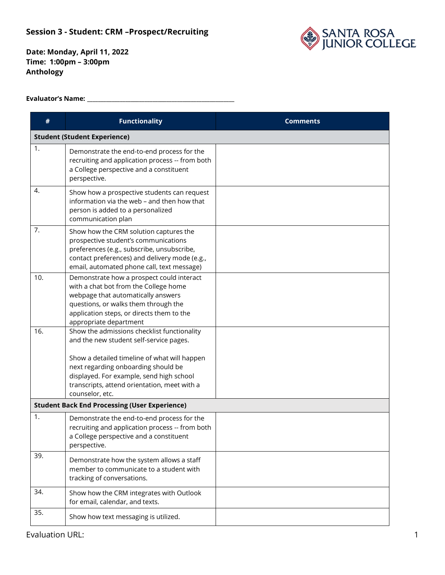#### **Session 3 - Student: CRM –Prospect /Recruiting**



**Date: Monday, April 11, 2022 Time: 1:00pm – 3:00pm Anthology**

#### **Evaluator's Name: \_\_\_\_\_\_\_\_\_\_\_\_\_\_\_\_\_\_\_\_\_\_\_\_\_\_\_\_\_\_\_\_\_\_\_\_\_\_\_\_\_\_\_\_\_\_\_\_\_\_\_\_\_\_**

| #   | <b>Functionality</b>                                                                                                                                                                                                                                                                         | <b>Comments</b> |  |  |
|-----|----------------------------------------------------------------------------------------------------------------------------------------------------------------------------------------------------------------------------------------------------------------------------------------------|-----------------|--|--|
|     | <b>Student (Student Experience)</b>                                                                                                                                                                                                                                                          |                 |  |  |
| 1.  | Demonstrate the end-to-end process for the<br>recruiting and application process -- from both<br>a College perspective and a constituent<br>perspective.                                                                                                                                     |                 |  |  |
| 4.  | Show how a prospective students can request<br>information via the web - and then how that<br>person is added to a personalized<br>communication plan                                                                                                                                        |                 |  |  |
| 7.  | Show how the CRM solution captures the<br>prospective student's communications<br>preferences (e.g., subscribe, unsubscribe,<br>contact preferences) and delivery mode (e.g.,<br>email, automated phone call, text message)                                                                  |                 |  |  |
| 10. | Demonstrate how a prospect could interact<br>with a chat bot from the College home<br>webpage that automatically answers<br>questions, or walks them through the<br>application steps, or directs them to the<br>appropriate department                                                      |                 |  |  |
| 16. | Show the admissions checklist functionality<br>and the new student self-service pages.<br>Show a detailed timeline of what will happen<br>next regarding onboarding should be<br>displayed. For example, send high school<br>transcripts, attend orientation, meet with a<br>counselor, etc. |                 |  |  |
|     | <b>Student Back End Processing (User Experience)</b>                                                                                                                                                                                                                                         |                 |  |  |
| 1.  | Demonstrate the end-to-end process for the<br>recruiting and application process -- from both<br>a College perspective and a constituent<br>perspective.                                                                                                                                     |                 |  |  |
| 39. | Demonstrate how the system allows a staff<br>member to communicate to a student with<br>tracking of conversations.                                                                                                                                                                           |                 |  |  |
| 34. | Show how the CRM integrates with Outlook<br>for email, calendar, and texts.                                                                                                                                                                                                                  |                 |  |  |
| 35. | Show how text messaging is utilized.                                                                                                                                                                                                                                                         |                 |  |  |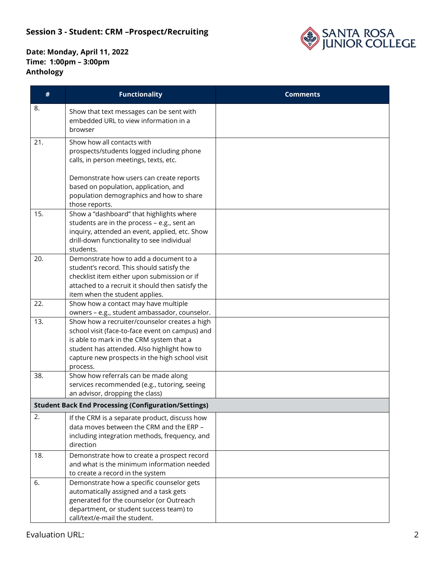## **Session 3 - Student: CRM –Prospect /Recruiting**



| #   | <b>Functionality</b>                                                                                                                                                                                                                                      | <b>Comments</b> |
|-----|-----------------------------------------------------------------------------------------------------------------------------------------------------------------------------------------------------------------------------------------------------------|-----------------|
| 8.  | Show that text messages can be sent with<br>embedded URL to view information in a<br>browser                                                                                                                                                              |                 |
| 21. | Show how all contacts with<br>prospects/students logged including phone<br>calls, in person meetings, texts, etc.                                                                                                                                         |                 |
|     | Demonstrate how users can create reports<br>based on population, application, and<br>population demographics and how to share<br>those reports.                                                                                                           |                 |
| 15. | Show a "dashboard" that highlights where<br>students are in the process - e.g., sent an<br>inquiry, attended an event, applied, etc. Show<br>drill-down functionality to see individual<br>students.                                                      |                 |
| 20. | Demonstrate how to add a document to a<br>student's record. This should satisfy the<br>checklist item either upon submission or if<br>attached to a recruit it should then satisfy the<br>item when the student applies.                                  |                 |
| 22. | Show how a contact may have multiple<br>owners - e.g., student ambassador, counselor.                                                                                                                                                                     |                 |
| 13. | Show how a recruiter/counselor creates a high<br>school visit (face-to-face event on campus) and<br>is able to mark in the CRM system that a<br>student has attended. Also highlight how to<br>capture new prospects in the high school visit<br>process. |                 |
| 38. | Show how referrals can be made along<br>services recommended (e.g., tutoring, seeing<br>an advisor, dropping the class)                                                                                                                                   |                 |
|     | <b>Student Back End Processing (Configuration/Settings)</b>                                                                                                                                                                                               |                 |
| 2.  | If the CRM is a separate product, discuss how<br>data moves between the CRM and the ERP -<br>including integration methods, frequency, and<br>direction                                                                                                   |                 |
| 18. | Demonstrate how to create a prospect record<br>and what is the minimum information needed<br>to create a record in the system                                                                                                                             |                 |
| 6.  | Demonstrate how a specific counselor gets<br>automatically assigned and a task gets<br>generated for the counselor (or Outreach<br>department, or student success team) to<br>call/text/e-mail the student.                                               |                 |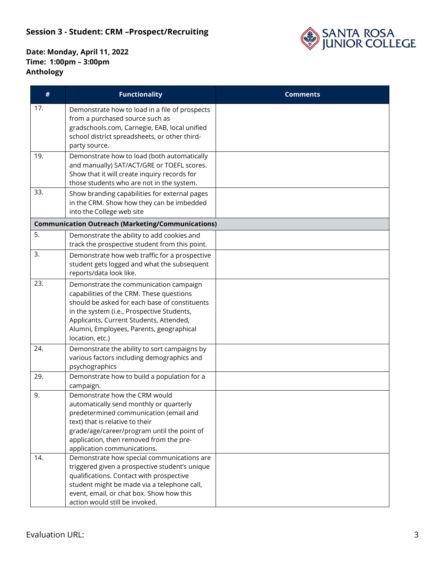### **Session 3 - Student: CRM –Prospect /Recruiting**



| #   | <b>Functionality</b>                                                                                                                                                                                                                                                                        | <b>Comments</b> |
|-----|---------------------------------------------------------------------------------------------------------------------------------------------------------------------------------------------------------------------------------------------------------------------------------------------|-----------------|
| 17. | Demonstrate how to load in a file of prospects<br>from a purchased source such as<br>gradschools.com, Carnegie, EAB, local unified<br>school district spreadsheets, or other third-<br>party source.                                                                                        |                 |
| 19. | Demonstrate how to load (both automatically<br>and manually) SAT/ACT/GRE or TOEFL scores.<br>Show that it will create inquiry records for<br>those students who are not in the system.                                                                                                      |                 |
| 33. | Show branding capabilities for external pages<br>in the CRM. Show how they can be imbedded<br>into the College web site                                                                                                                                                                     |                 |
|     | <b>Communication Outreach (Marketing/Communications)</b>                                                                                                                                                                                                                                    |                 |
| 5.  | Demonstrate the ability to add cookies and<br>track the prospective student from this point.                                                                                                                                                                                                |                 |
| 3.  | Demonstrate how web traffic for a prospective<br>student gets logged and what the subsequent<br>reports/data look like.                                                                                                                                                                     |                 |
| 23. | Demonstrate the communication campaign<br>capabilities of the CRM. These questions<br>should be asked for each base of constituents<br>in the system (i.e., Prospective Students,<br>Applicants, Current Students, Attended,<br>Alumni, Employees, Parents, geographical<br>location, etc.) |                 |
| 24. | Demonstrate the ability to sort campaigns by<br>various factors including demographics and<br>psychographics                                                                                                                                                                                |                 |
| 29. | Demonstrate how to build a population for a<br>campaign.                                                                                                                                                                                                                                    |                 |
| 9.  | Demonstrate how the CRM would<br>automatically send monthly or quarterly<br>predetermined communication (email and<br>text) that is relative to their<br>grade/age/career/program until the point of<br>application, then removed from the pre-<br>application communications.              |                 |
| 14. | Demonstrate how special communications are<br>triggered given a prospective student's unique<br>qualifications. Contact with prospective<br>student might be made via a telephone call,<br>event, email, or chat box. Show how this<br>action would still be invoked.                       |                 |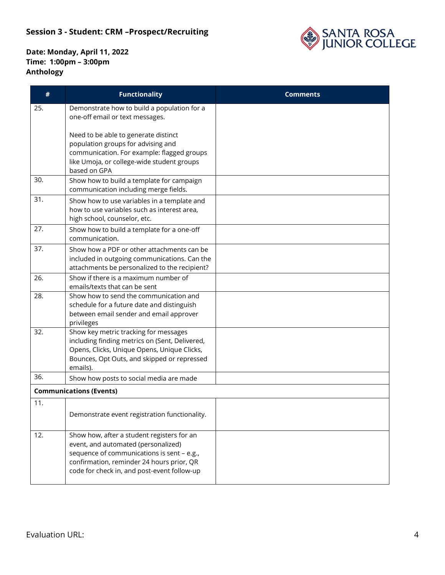# **Session 3 - Student: CRM –Prospect/Recruiting**



| #   | <b>Functionality</b>                                                                                                                                                                                                        | <b>Comments</b> |
|-----|-----------------------------------------------------------------------------------------------------------------------------------------------------------------------------------------------------------------------------|-----------------|
| 25. | Demonstrate how to build a population for a<br>one-off email or text messages.                                                                                                                                              |                 |
|     | Need to be able to generate distinct<br>population groups for advising and<br>communication. For example: flagged groups<br>like Umoja, or college-wide student groups<br>based on GPA                                      |                 |
| 30. | Show how to build a template for campaign<br>communication including merge fields.                                                                                                                                          |                 |
| 31. | Show how to use variables in a template and<br>how to use variables such as interest area,<br>high school, counselor, etc.                                                                                                  |                 |
| 27. | Show how to build a template for a one-off<br>communication.                                                                                                                                                                |                 |
| 37. | Show how a PDF or other attachments can be<br>included in outgoing communications. Can the<br>attachments be personalized to the recipient?                                                                                 |                 |
| 26. | Show if there is a maximum number of<br>emails/texts that can be sent                                                                                                                                                       |                 |
| 28. | Show how to send the communication and<br>schedule for a future date and distinguish<br>between email sender and email approver<br>privileges                                                                               |                 |
| 32. | Show key metric tracking for messages<br>including finding metrics on (Sent, Delivered,<br>Opens, Clicks, Unique Opens, Unique Clicks,<br>Bounces, Opt Outs, and skipped or repressed<br>emails).                           |                 |
| 36. | Show how posts to social media are made                                                                                                                                                                                     |                 |
|     | <b>Communications (Events)</b>                                                                                                                                                                                              |                 |
| 11. | Demonstrate event registration functionality.                                                                                                                                                                               |                 |
| 12. | Show how, after a student registers for an<br>event, and automated (personalized)<br>sequence of communications is sent - e.g.,<br>confirmation, reminder 24 hours prior, QR<br>code for check in, and post-event follow-up |                 |